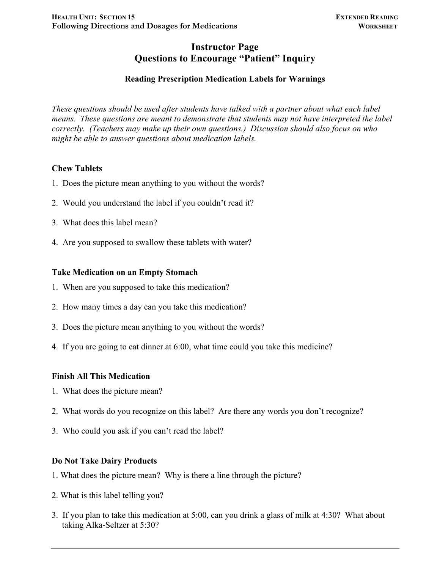## **Instructor Page Questions to Encourage "Patient" Inquiry**

## **Reading Prescription Medication Labels for Warnings**

*These questions should be used after students have talked with a partner about what each label means. These questions are meant to demonstrate that students may not have interpreted the label correctly. (Teachers may make up their own questions.) Discussion should also focus on who might be able to answer questions about medication labels.*

#### **Chew Tablets**

- 1. Does the picture mean anything to you without the words?
- 2. Would you understand the label if you couldn't read it?
- 3. What does this label mean?
- 4. Are you supposed to swallow these tablets with water?

#### **Take Medication on an Empty Stomach**

- 1. When are you supposed to take this medication?
- 2. How many times a day can you take this medication?
- 3. Does the picture mean anything to you without the words?
- 4. If you are going to eat dinner at 6:00, what time could you take this medicine?

#### **Finish All This Medication**

- 1. What does the picture mean?
- 2. What words do you recognize on this label? Are there any words you don't recognize?
- 3. Who could you ask if you can't read the label?

### **Do Not Take Dairy Products**

- 1. What does the picture mean? Why is there a line through the picture?
- 2. What is this label telling you?
- 3. If you plan to take this medication at 5:00, can you drink a glass of milk at 4:30? What about taking Alka-Seltzer at 5:30?